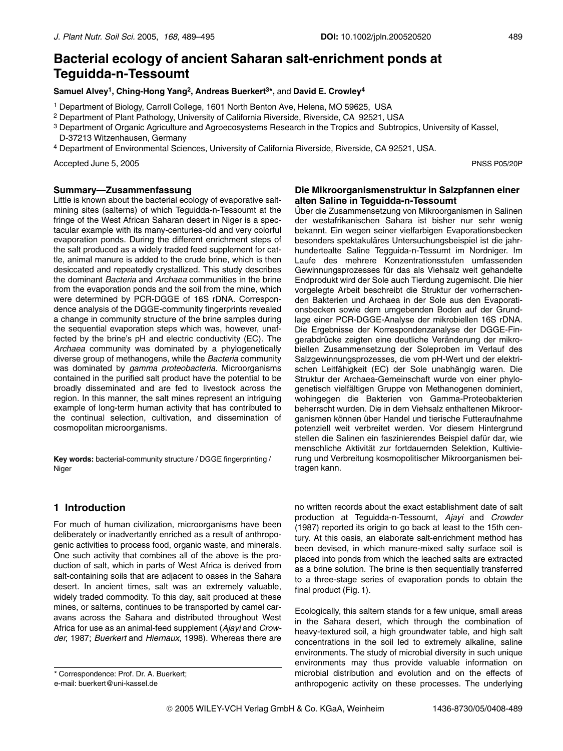# Bacterial ecology of ancient Saharan salt-enrichment ponds at **Tequidda-n-Tessoumt**

Samuel Alvey<sup>1</sup>, Ching-Hong Yang<sup>2</sup>, Andreas Buerkert<sup>3\*</sup>, and David E. Crowley<sup>4</sup>

- <sup>1</sup> Department of Biology, Carroll College, 1601 North Benton Ave, Helena, MO 59625, USA
- <sup>2</sup> Department of Plant Pathology, University of California Riverside, Riverside, CA 92521, USA
- <sup>3</sup> Department of Organic Agriculture and Agroecosystems Research in the Tropics and Subtropics, University of Kassel, D-37213 Witzenhausen, Germany
- 4 Department of Environmental Sciences, University of California Riverside, Riverside, CA 92521, USA.

Accepted June 5, 2005

#### Summary-Zusammenfassung

Little is known about the bacterial ecology of evaporative saltmining sites (salterns) of which Tequidda-n-Tessoumt at the fringe of the West African Saharan desert in Niger is a spectacular example with its many-centuries-old and very colorful evaporation ponds. During the different enrichment steps of the salt produced as a widely traded feed supplement for cattle, animal manure is added to the crude brine, which is then desiccated and repeatedly crystallized. This study describes the dominant Bacteria and Archaea communities in the brine from the evaporation ponds and the soil from the mine, which were determined by PCR-DGGE of 16S rDNA. Correspondence analysis of the DGGE-community fingerprints revealed a change in community structure of the brine samples during the sequential evaporation steps which was, however, unaffected by the brine's pH and electric conductivity (EC). The Archaea community was dominated by a phylogenetically diverse group of methanogens, while the Bacteria community was dominated by *gamma proteobacteria*. Microorganisms contained in the purified salt product have the potential to be broadly disseminated and are fed to livestock across the region. In this manner, the salt mines represent an intriguing example of long-term human activity that has contributed to the continual selection, cultivation, and dissemination of cosmopolitan microorganisms.

Key words: bacterial-community structure / DGGE fingerprinting / Niger

# 1 Introduction

For much of human civilization, microorganisms have been deliberately or inadvertantly enriched as a result of anthropogenic activities to process food, organic waste, and minerals. One such activity that combines all of the above is the production of salt, which in parts of West Africa is derived from salt-containing soils that are adjacent to oases in the Sahara desert. In ancient times, salt was an extremely valuable, widely traded commodity. To this day, salt produced at these mines, or salterns, continues to be transported by camel caravans across the Sahara and distributed throughout West Africa for use as an animal-feed supplement (Ajayi and Crowder, 1987; Buerkert and Hiernaux, 1998). Whereas there are

#### Die Mikroorganismenstruktur in Salzpfannen einer alten Saline in Teguidda-n-Tessoumt

Über die Zusammensetzung von Mikroorganismen in Salinen der westafrikanischen Sahara ist bisher nur sehr wenig bekannt. Ein wegen seiner vielfarbigen Evaporationsbecken besonders spektakuläres Untersuchungsbeispiel ist die jahrhundertealte Saline Tegguida-n-Tessumt im Nordniger. Im Laufe des mehrere Konzentrationsstufen umfassenden Gewinnungsprozesses für das als Viehsalz weit gehandelte Endprodukt wird der Sole auch Tierdung zugemischt. Die hier vorgelegte Arbeit beschreibt die Struktur der vorherrschenden Bakterien und Archaea in der Sole aus den Evaporationsbecken sowie dem umgebenden Boden auf der Grundlage einer PCR-DGGE-Analyse der mikrobiellen 16S rDNA. Die Ergebnisse der Korrespondenzanalyse der DGGE-Fingerabdrücke zeigten eine deutliche Veränderung der mikrobiellen Zusammensetzung der Soleproben im Verlauf des Salzgewinnungsprozesses, die vom pH-Wert und der elektrischen Leitfähigkeit (EC) der Sole unabhängig waren. Die Struktur der Archaea-Gemeinschaft wurde von einer phylogenetisch vielfältigen Gruppe von Methanogenen dominiert, wohingegen die Bakterien von Gamma-Proteobakterien beherrscht wurden. Die in dem Viehsalz enthaltenen Mikroorganismen können über Handel und tierische Futteraufnahme potenziell weit verbreitet werden. Vor diesem Hintergrund stellen die Salinen ein faszinierendes Beispiel dafür dar, wie menschliche Aktivität zur fortdauernden Selektion, Kultivierung und Verbreitung kosmopolitischer Mikroorganismen beitragen kann.

no written records about the exact establishment date of salt production at Teguidda-n-Tessoumt, Ajayi and Crowder (1987) reported its origin to go back at least to the 15th century. At this oasis, an elaborate salt-enrichment method has been devised, in which manure-mixed salty surface soil is placed into ponds from which the leached salts are extracted as a brine solution. The brine is then sequentially transferred to a three-stage series of evaporation ponds to obtain the final product (Fig. 1).

Ecologically, this saltern stands for a few unique, small areas in the Sahara desert, which through the combination of heavy-textured soil, a high groundwater table, and high salt concentrations in the soil led to extremely alkaline, saline environments. The study of microbial diversity in such unique environments may thus provide valuable information on microbial distribution and evolution and on the effects of anthropogenic activity on these processes. The underlying

**PNSS P05/20P** 

<sup>\*</sup> Correspondence: Prof. Dr. A. Buerkert; e-mail: buerkert@uni-kassel.de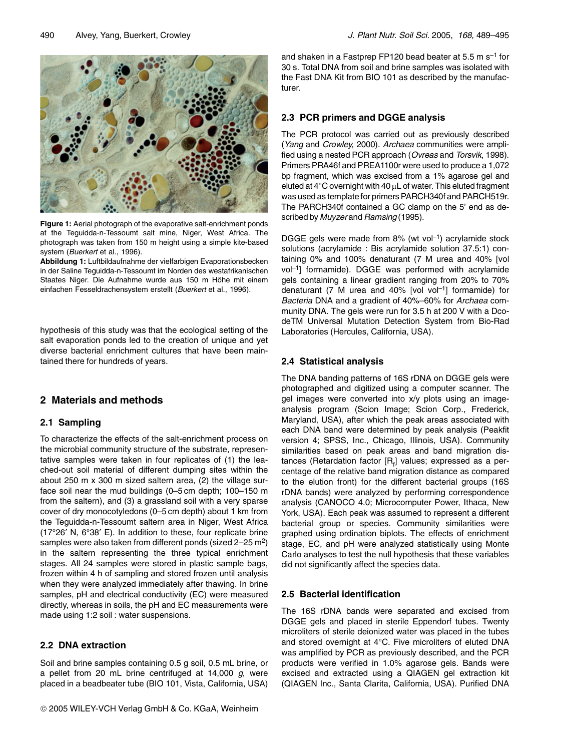

Figure 1: Aerial photograph of the evaporative salt-enrichment ponds at the Tequidda-n-Tessoumt salt mine. Niger. West Africa. The photograph was taken from 150 m height using a simple kite-based system (Buerkert et al., 1996).

Abbildung 1: Luftbildaufnahme der vielfarbigen Evaporationsbecken in der Saline Teguidda-n-Tessoumt im Norden des westafrikanischen Staates Niger. Die Aufnahme wurde aus 150 m Höhe mit einem einfachen Fesseldrachensystem erstellt (Buerkert et al., 1996).

hypothesis of this study was that the ecological setting of the salt evaporation ponds led to the creation of unique and yet diverse bacterial enrichment cultures that have been maintained there for hundreds of years.

# 2 Materials and methods

## 2.1 Sampling

To characterize the effects of the salt-enrichment process on the microbial community structure of the substrate, representative samples were taken in four replicates of (1) the leached-out soil material of different dumping sites within the about 250 m x 300 m sized saltern area, (2) the village surface soil near the mud buildings (0-5 cm depth; 100-150 m from the saltern), and (3) a grassland soil with a very sparse cover of dry monocotyledons (0-5 cm depth) about 1 km from the Teguidda-n-Tessoumt saltern area in Niger, West Africa (17°26' N, 6°38' E). In addition to these, four replicate brine samples were also taken from different ponds (sized 2-25 m<sup>2</sup>) in the saltern representing the three typical enrichment stages. All 24 samples were stored in plastic sample bags, frozen within 4 h of sampling and stored frozen until analysis when they were analyzed immediately after thawing. In brine samples, pH and electrical conductivity (EC) were measured directly, whereas in soils, the pH and EC measurements were made using 1:2 soil : water suspensions.

## 2.2 DNA extraction

Soil and brine samples containing 0.5 g soil, 0.5 mL brine, or a pellet from 20 mL brine centrifuged at 14,000 a. were placed in a beadbeater tube (BIO 101, Vista, California, USA) and shaken in a Fastprep FP120 bead beater at 5.5 m s<sup>-1</sup> for 30 s. Total DNA from soil and brine samples was isolated with the Fast DNA Kit from BIO 101 as described by the manufacturer.

# 2.3 PCR primers and DGGE analysis

The PCR protocol was carried out as previously described (Yang and Crowley, 2000). Archaea communities were amplified using a nested PCR approach (Ovreas and Torsvik, 1998). Primers PRA46f and PREA1100r were used to produce a 1,072 bp fragment, which was excised from a 1% agarose gel and eluted at  $4^{\circ}$ C overnight with  $40 \mu$ L of water. This eluted fragment was used as template for primers PARCH340f and PARCH519r. The PARCH340f contained a GC clamp on the 5' end as described by Muyzer and Ramsing (1995).

DGGE gels were made from 8% (wt vol<sup>-1</sup>) acrylamide stock solutions (acrylamide : Bis acrylamide solution 37.5:1) containing 0% and 100% denaturant (7 M urea and 40% [vol vol<sup>-1</sup>] formamide). DGGE was performed with acrylamide gels containing a linear gradient ranging from 20% to 70% denaturant  $(7 \text{ M}$  urea and  $40\%$  [vol vol<sup>-1</sup>] formamide) for Bacteria DNA and a gradient of 40%-60% for Archaea community DNA. The gels were run for 3.5 h at 200 V with a DcodeTM Universal Mutation Detection System from Bio-Rad Laboratories (Hercules, California, USA).

# 2.4 Statistical analysis

The DNA banding patterns of 16S rDNA on DGGE gels were photographed and digitized using a computer scanner. The gel images were converted into x/y plots using an imageanalysis program (Scion Image; Scion Corp., Frederick, Maryland, USA), after which the peak areas associated with each DNA band were determined by peak analysis (Peakfit version 4; SPSS, Inc., Chicago, Illinois, USA). Community similarities based on peak areas and band migration distances (Retardation factor [R.] values; expressed as a percentage of the relative band migration distance as compared to the elution front) for the different bacterial groups (16S rDNA bands) were analyzed by performing correspondence analysis (CANOCO 4.0; Microcomputer Power, Ithaca, New York, USA). Each peak was assumed to represent a different bacterial group or species. Community similarities were graphed using ordination biplots. The effects of enrichment stage, EC, and pH were analyzed statistically using Monte Carlo analyses to test the null hypothesis that these variables did not significantly affect the species data.

## 2.5 Bacterial identification

The 16S rDNA bands were separated and excised from DGGE gels and placed in sterile Eppendorf tubes. Twenty microliters of sterile deionized water was placed in the tubes and stored overnight at 4°C. Five microliters of eluted DNA was amplified by PCR as previously described, and the PCR products were verified in 1.0% agarose gels. Bands were excised and extracted using a QIAGEN gel extraction kit (QIAGEN Inc., Santa Clarita, California, USA), Purified DNA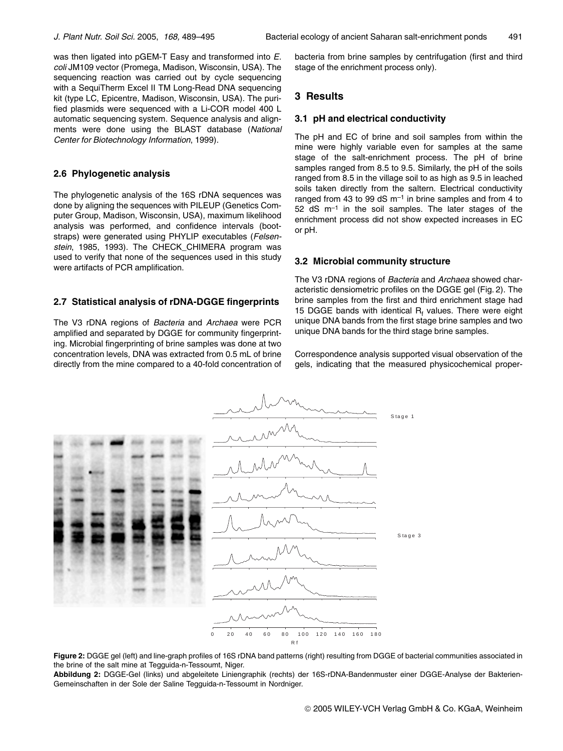was then ligated into pGEM-T Easy and transformed into E. coli JM109 vector (Promega, Madison, Wisconsin, USA). The sequencing reaction was carried out by cycle sequencing with a SequiTherm Excel II TM Long-Read DNA sequencing kit (type LC, Epicentre, Madison, Wisconsin, USA). The purified plasmids were sequenced with a Li-COR model 400 L automatic sequencing system. Sequence analysis and alignments were done using the BLAST database (National Center for Biotechnology Information, 1999).

#### 2.6 Phylogenetic analysis

The phylogenetic analysis of the 16S rDNA sequences was done by aligning the sequences with PILEUP (Genetics Computer Group, Madison, Wisconsin, USA), maximum likelihood analysis was performed, and confidence intervals (bootstraps) were generated using PHYLIP executables (Felsenstein, 1985, 1993). The CHECK CHIMERA program was used to verify that none of the sequences used in this study were artifacts of PCR amplification.

#### 2.7 Statistical analysis of rDNA-DGGE fingerprints

The V3 rDNA regions of Bacteria and Archaea were PCR amplified and separated by DGGE for community fingerprinting. Microbial fingerprinting of brine samples was done at two concentration levels, DNA was extracted from 0.5 mL of brine directly from the mine compared to a 40-fold concentration of bacteria from brine samples by centrifugation (first and third stage of the enrichment process only).

## 3 Results

#### 3.1 pH and electrical conductivity

The pH and EC of brine and soil samples from within the mine were highly variable even for samples at the same stage of the salt-enrichment process. The pH of brine samples ranged from 8.5 to 9.5. Similarly, the pH of the soils ranged from 8.5 in the village soil to as high as 9.5 in leached soils taken directly from the saltern. Electrical conductivity ranged from 43 to 99 dS  $m^{-1}$  in brine samples and from 4 to  $52$  dS  $\text{m}^{-1}$  in the soil samples. The later stages of the enrichment process did not show expected increases in EC or pH.

#### 3.2 Microbial community structure

The V3 rDNA regions of Bacteria and Archaea showed characteristic densiometric profiles on the DGGE gel (Fig. 2). The brine samples from the first and third enrichment stage had 15 DGGE bands with identical R<sub>t</sub> values. There were eight unique DNA bands from the first stage brine samples and two unique DNA bands for the third stage brine samples.

Correspondence analysis supported visual observation of the gels, indicating that the measured physicochemical proper-



Figure 2: DGGE gel (left) and line-graph profiles of 16S rDNA band patterns (right) resulting from DGGE of bacterial communities associated in the brine of the salt mine at Tegguida-n-Tessoumt, Niger.

Abbildung 2: DGGE-Gel (links) und abgeleitete Liniengraphik (rechts) der 16S-rDNA-Bandenmuster einer DGGE-Analyse der Bakterien-Gemeinschaften in der Sole der Saline Tegguida-n-Tessoumt in Nordniger.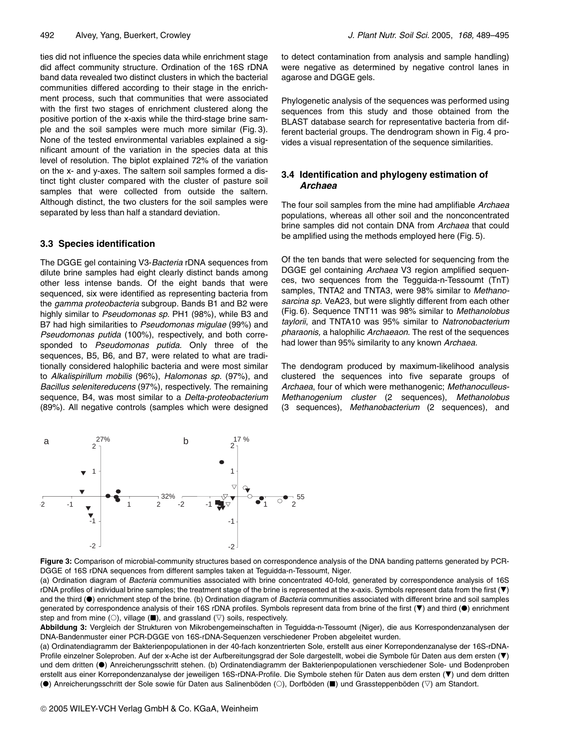ties did not influence the species data while enrichment stage did affect community structure. Ordination of the 16S rDNA band data revealed two distinct clusters in which the bacterial communities differed according to their stage in the enrichment process, such that communities that were associated with the first two stages of enrichment clustered along the positive portion of the x-axis while the third-stage brine sample and the soil samples were much more similar (Fig. 3). None of the tested environmental variables explained a significant amount of the variation in the species data at this level of resolution. The biplot explained 72% of the variation on the x- and y-axes. The saltern soil samples formed a distinct tight cluster compared with the cluster of pasture soil samples that were collected from outside the saltern. Although distinct, the two clusters for the soil samples were separated by less than half a standard deviation.

#### 3.3 Species identification

The DGGE gel containing V3-Bacteria rDNA sequences from dilute brine samples had eight clearly distinct bands among other less intense bands. Of the eight bands that were sequenced, six were identified as representing bacteria from the gamma proteobacteria subgroup. Bands B1 and B2 were highly similar to Pseudomonas sp. PH1 (98%), while B3 and B7 had high similarities to Pseudomonas migulae (99%) and Pseudomonas putida (100%), respectively, and both corresponded to Pseudomonas putida. Only three of the sequences, B5, B6, and B7, were related to what are traditionally considered halophilic bacteria and were most similar to Alkalispirillum mobilis (96%), Halomonas sp. (97%), and Bacillus selenitereducens (97%), respectively. The remaining sequence, B4, was most similar to a Delta-proteobacterium (89%). All negative controls (samples which were designed to detect contamination from analysis and sample handling) were negative as determined by negative control lanes in agarose and DGGE gels.

Phylogenetic analysis of the sequences was performed using sequences from this study and those obtained from the BLAST database search for representative bacteria from different bacterial groups. The dendrogram shown in Fig. 4 provides a visual representation of the sequence similarities.

#### 3.4 Identification and phylogeny estimation of **Archaea**

The four soil samples from the mine had amplifiable Archaea populations, whereas all other soil and the nonconcentrated brine samples did not contain DNA from Archaea that could be amplified using the methods employed here (Fig. 5).

Of the ten bands that were selected for sequencing from the DGGE gel containing Archaea V3 region amplified sequences, two sequences from the Tegguida-n-Tessoumt (TnT) samples, TNTA2 and TNTA3, were 98% similar to Methanosarcina sp. VeA23, but were slightly different from each other (Fig. 6). Sequence TNT11 was 98% similar to Methanolobus taylorii, and TNTA10 was 95% similar to Natronobacterium pharaonis, a halophilic Archaeaon. The rest of the sequences had lower than 95% similarity to any known Archaea.

The dendogram produced by maximum-likelihood analysis clustered the sequences into five separate groups of Archaea, four of which were methanogenic; Methanoculleus-Methanogenium cluster (2 sequences), Methanolobus (3 sequences), Methanobacterium (2 sequences), and



Figure 3: Comparison of microbial-community structures based on correspondence analysis of the DNA banding patterns generated by PCR-DGGE of 16S rDNA sequences from different samples taken at Tequidda-n-Tessoumt, Niger.

(a) Ordination diagram of Bacteria communities associated with brine concentrated 40-fold, generated by correspondence analysis of 16S rDNA profiles of individual brine samples; the treatment stage of the brine is represented at the x-axis. Symbols represent data from the first ( $\blacktriangledown$ ) and the third (.) enrichment step of the brine. (b) Ordination diagram of Bacteria communities associated with different brine and soil samples generated by correspondence analysis of their 16S rDNA profiles. Symbols represent data from brine of the first (▼) and third (●) enrichment step and from mine ( $\circlearrowright$ ), village ( $\blacksquare$ ), and grassland ( $\triangledown$ ) soils, respectively.

Abbildung 3: Vergleich der Strukturen von Mikrobengemeinschaften in Teguidda-n-Tessoumt (Niger), die aus Korrespondenzanalysen der DNA-Bandenmuster einer PCR-DGGE von 16S-rDNA-Sequenzen verschiedener Proben abgeleitet wurden.

(a) Ordinatendiagramm der Bakterienpopulationen in der 40-fach konzentrierten Sole, erstellt aus einer Korrepondenzanalyse der 16S-rDNA-Profile einzelner Soleproben. Auf der x-Ache ist der Aufbereitungsgrad der Sole dargestellt, wobei die Symbole für Daten aus dem ersten (▼) und dem dritten (·) Anreicherungsschritt stehen. (b) Ordinatendiagramm der Bakterienpopulationen verschiedener Sole- und Bodenproben erstellt aus einer Korrepondenzanalyse der jeweiligen 16S-rDNA-Profile. Die Symbole stehen für Daten aus dem ersten (▼) und dem dritten (●) Anreicherungsschritt der Sole sowie für Daten aus Salinenböden (○). Dorfböden (■) und Grassteppenböden (▽) am Standort.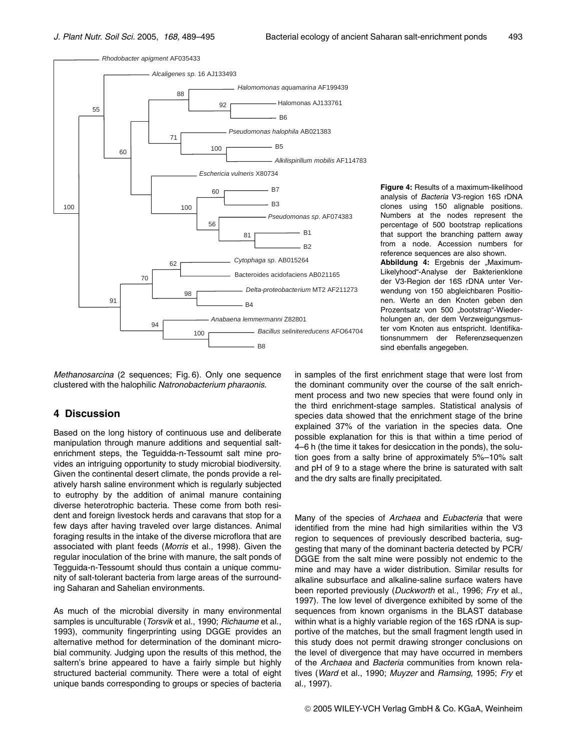

Figure 4: Results of a maximum-likelihood analysis of Bacteria V3-region 16S rDNA clones using 150 alignable positions. Numbers at the nodes represent the percentage of 500 bootstrap replications that support the branching pattern away from a node. Accession numbers for reference sequences are also shown. Abbildung 4: Ergebnis der "Maximum-Likelyhood"-Analyse der Bakterienklone der V3-Region der 16S rDNA unter Verwendung von 150 abgleichbaren Positionen. Werte an den Knoten geben den Prozentsatz von 500 "bootstrap"-Wiederholungen an, der dem Verzweigungsmuster vom Knoten aus entspricht. Identifika-

tionsnummern der Referenzseguenzen

sind ebenfalls angegeben.

Methanosarcina (2 sequences: Fig. 6). Only one sequence clustered with the halophilic Natronobacterium pharaonis.

#### 4 Discussion

Based on the long history of continuous use and deliberate manipulation through manure additions and sequential saltenrichment steps, the Teguidda-n-Tessoumt salt mine provides an intriguing opportunity to study microbial biodiversity. Given the continental desert climate, the ponds provide a relatively harsh saline environment which is regularly subjected to eutrophy by the addition of animal manure containing diverse heterotrophic bacteria. These come from both resident and foreign livestock herds and caravans that stop for a few days after having traveled over large distances. Animal foraging results in the intake of the diverse microflora that are associated with plant feeds (Morris et al., 1998). Given the regular inoculation of the brine with manure, the salt ponds of Tegguida-n-Tessoumt should thus contain a unique community of salt-tolerant bacteria from large areas of the surrounding Saharan and Sahelian environments.

As much of the microbial diversity in many environmental samples is unculturable (Torsvik et al., 1990; Richaume et al., 1993), community fingerprinting using DGGE provides an alternative method for determination of the dominant microbial community. Judging upon the results of this method, the saltern's brine appeared to have a fairly simple but highly structured bacterial community. There were a total of eight unique bands corresponding to groups or species of bacteria in samples of the first enrichment stage that were lost from the dominant community over the course of the salt enrichment process and two new species that were found only in the third enrichment-stage samples. Statistical analysis of species data showed that the enrichment stage of the brine explained 37% of the variation in the species data. One possible explanation for this is that within a time period of 4-6 h (the time it takes for desiccation in the ponds), the solution goes from a salty brine of approximately 5%-10% salt and pH of 9 to a stage where the brine is saturated with salt and the dry salts are finally precipitated.

Many of the species of Archaea and Eubacteria that were identified from the mine had high similarities within the V3 region to sequences of previously described bacteria, suggesting that many of the dominant bacteria detected by PCR/ DGGE from the salt mine were possibly not endemic to the mine and may have a wider distribution. Similar results for alkaline subsurface and alkaline-saline surface waters have been reported previously (Duckworth et al., 1996; Fry et al., 1997). The low level of divergence exhibited by some of the sequences from known organisms in the BLAST database within what is a highly variable region of the 16S rDNA is supportive of the matches, but the small fragment length used in this study does not permit drawing stronger conclusions on the level of divergence that may have occurred in members of the Archaea and Bacteria communities from known relatives (Ward et al., 1990; Muyzer and Ramsing, 1995; Fry et al., 1997).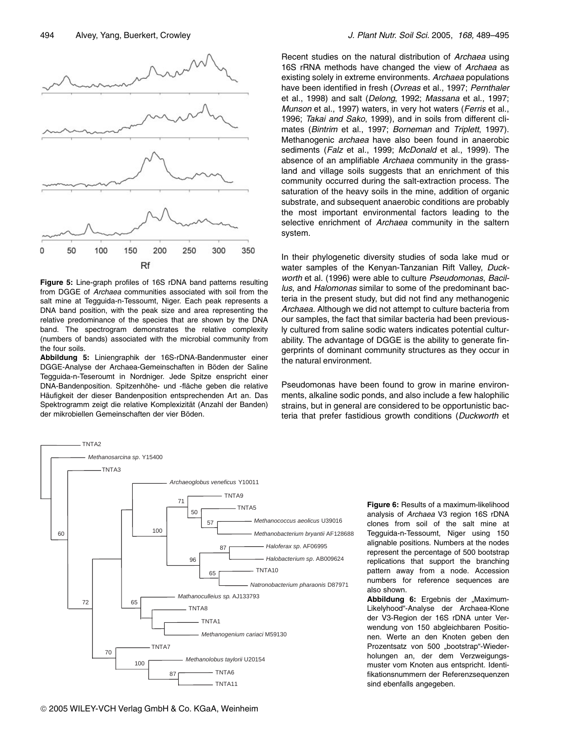

Figure 5: Line-graph profiles of 16S rDNA band patterns resulting from DGGE of Archaea communities associated with soil from the salt mine at Tegguida-n-Tessoumt. Niger. Each peak represents a DNA band position, with the peak size and area representing the relative predominance of the species that are shown by the DNA band. The spectrogram demonstrates the relative complexity (numbers of bands) associated with the microbial community from the four soils.

Abbildung 5: Liniengraphik der 16S-rDNA-Bandenmuster einer DGGE-Analyse der Archaea-Gemeinschaften in Böden der Saline Tegguida-n-Teseroumt in Nordniger. Jede Spitze enspricht einer DNA-Bandenposition. Spitzenhöhe- und -fläche geben die relative Häufigkeit der dieser Bandenposition entsprechenden Art an. Das Spektrogramm zeigt die relative Komplexizität (Anzahl der Banden) der mikrobiellen Gemeinschaften der vier Böden

Recent studies on the natural distribution of Archaea using 16S rRNA methods have changed the view of Archaea as existing solely in extreme environments. Archaea populations have been identified in fresh (Ovreas et al., 1997; Pernthaler et al., 1998) and salt (Delong, 1992; Massana et al., 1997; Munson et al., 1997) waters, in very hot waters (Ferris et al., 1996; Takai and Sako, 1999), and in soils from different climates (Bintrim et al., 1997; Borneman and Triplett, 1997). Methanogenic *archaea* have also been found in anaerobic sediments (Falz et al., 1999; McDonald et al., 1999). The absence of an amplifiable Archaea community in the grassland and village soils suggests that an enrichment of this community occurred during the salt-extraction process. The saturation of the heavy soils in the mine, addition of organic substrate, and subsequent anaerobic conditions are probably the most important environmental factors leading to the selective enrichment of Archaea community in the saltern system.

In their phylogenetic diversity studies of soda lake mud or water samples of the Kenyan-Tanzanian Rift Valley, Duckworth et al. (1996) were able to culture Pseudomonas, Bacillus, and Halomonas similar to some of the predominant bacteria in the present study, but did not find any methanogenic Archaea. Although we did not attempt to culture bacteria from our samples, the fact that similar bacteria had been previously cultured from saline sodic waters indicates potential culturability. The advantage of DGGE is the ability to generate fingerprints of dominant community structures as they occur in the natural environment.

Pseudomonas have been found to grow in marine environments, alkaline sodic ponds, and also include a few halophilic strains, but in general are considered to be opportunistic bacteria that prefer fastidious growth conditions (Duckworth et



Figure 6: Results of a maximum-likelihood analysis of Archaea V3 region 16S rDNA clones from soil of the salt mine at Tegguida-n-Tessoumt, Niger using 150 alignable positions. Numbers at the nodes represent the percentage of 500 bootstrap replications that support the branching pattern away from a node. Accession numbers for reference sequences are also shown

Abbildung 6: Ergebnis der "Maximum-Likelyhood"-Analyse der Archaea-Klone der V3-Region der 16S rDNA unter Verwendung von 150 abgleichbaren Positionen. Werte an den Knoten geben den Prozentsatz von 500 "bootstrap"-Wiederholungen an, der dem Verzweigungsmuster vom Knoten aus entspricht. Identifikationsnummern der Referenzsequenzen sind ebenfalls angegeben.